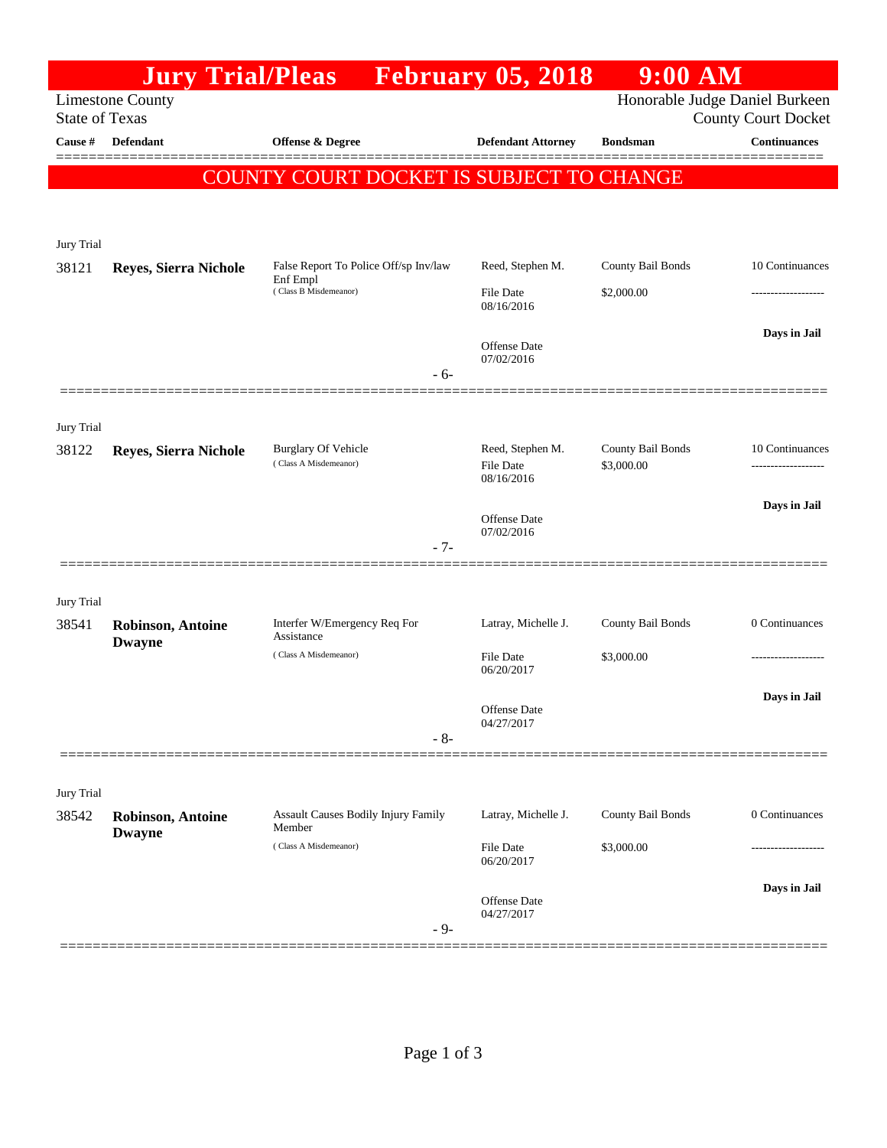|                                                    |                                                                   |                                                                                                                       | $9:00$ AM                                                                                                  |                                                                                                                                                         |
|----------------------------------------------------|-------------------------------------------------------------------|-----------------------------------------------------------------------------------------------------------------------|------------------------------------------------------------------------------------------------------------|---------------------------------------------------------------------------------------------------------------------------------------------------------|
|                                                    |                                                                   |                                                                                                                       |                                                                                                            | <b>County Court Docket</b>                                                                                                                              |
| Defendant                                          | Offense & Degree                                                  | <b>Defendant Attorney</b>                                                                                             | <b>Bondsman</b>                                                                                            | <b>Continuances</b>                                                                                                                                     |
|                                                    |                                                                   |                                                                                                                       |                                                                                                            |                                                                                                                                                         |
|                                                    |                                                                   |                                                                                                                       |                                                                                                            |                                                                                                                                                         |
|                                                    |                                                                   |                                                                                                                       |                                                                                                            |                                                                                                                                                         |
| Reyes, Sierra Nichole                              | False Report To Police Off/sp Inv/law                             | Reed, Stephen M.                                                                                                      | County Bail Bonds                                                                                          | 10 Continuances                                                                                                                                         |
|                                                    | (Class B Misdemeanor)                                             | File Date                                                                                                             | \$2,000.00                                                                                                 |                                                                                                                                                         |
|                                                    |                                                                   |                                                                                                                       |                                                                                                            | Days in Jail                                                                                                                                            |
|                                                    |                                                                   | <b>Offense Date</b><br>07/02/2016                                                                                     |                                                                                                            |                                                                                                                                                         |
|                                                    | $-6-$                                                             |                                                                                                                       |                                                                                                            |                                                                                                                                                         |
|                                                    |                                                                   |                                                                                                                       |                                                                                                            |                                                                                                                                                         |
| Reyes, Sierra Nichole                              | <b>Burglary Of Vehicle</b>                                        | Reed, Stephen M.                                                                                                      | County Bail Bonds                                                                                          | 10 Continuances                                                                                                                                         |
|                                                    |                                                                   | 08/16/2016                                                                                                            |                                                                                                            |                                                                                                                                                         |
|                                                    |                                                                   | Offense Date                                                                                                          |                                                                                                            | Days in Jail                                                                                                                                            |
|                                                    | $-7-$                                                             |                                                                                                                       |                                                                                                            |                                                                                                                                                         |
|                                                    |                                                                   |                                                                                                                       |                                                                                                            |                                                                                                                                                         |
|                                                    |                                                                   |                                                                                                                       |                                                                                                            |                                                                                                                                                         |
| 38541<br><b>Robinson, Antoine</b><br><b>Dwayne</b> | Assistance                                                        |                                                                                                                       |                                                                                                            | 0 Continuances                                                                                                                                          |
|                                                    |                                                                   | File Date<br>06/20/2017                                                                                               |                                                                                                            | ------------------                                                                                                                                      |
|                                                    |                                                                   |                                                                                                                       |                                                                                                            | Days in Jail                                                                                                                                            |
|                                                    | $-8-$                                                             | 04/27/2017                                                                                                            |                                                                                                            |                                                                                                                                                         |
|                                                    |                                                                   |                                                                                                                       |                                                                                                            |                                                                                                                                                         |
|                                                    |                                                                   |                                                                                                                       |                                                                                                            |                                                                                                                                                         |
| 38542<br><b>Robinson</b> , Antoine                 | Assault Causes Bodily Injury Family<br>Member                     | Latray, Michelle J.                                                                                                   | County Bail Bonds                                                                                          | 0 Continuances                                                                                                                                          |
|                                                    | (Class A Misdemeanor)                                             | File Date<br>06/20/2017                                                                                               | \$3,000.00                                                                                                 |                                                                                                                                                         |
|                                                    |                                                                   |                                                                                                                       |                                                                                                            | Days in Jail                                                                                                                                            |
|                                                    | $-9-$                                                             | 04/27/2017                                                                                                            |                                                                                                            |                                                                                                                                                         |
|                                                    | <b>Limestone County</b><br><b>State of Texas</b><br><b>Dwayne</b> | <b>Jury Trial/Pleas</b><br>Enf Empl<br>(Class A Misdemeanor)<br>Interfer W/Emergency Req For<br>(Class A Misdemeanor) | 08/16/2016<br><b>File Date</b><br>07/02/2016<br>Latray, Michelle J.<br><b>Offense</b> Date<br>Offense Date | <b>February 05, 2018</b><br>Honorable Judge Daniel Burkeen<br>COUNTY COURT DOCKET IS SUBJECT TO CHANGE<br>\$3,000.00<br>County Bail Bonds<br>\$3,000.00 |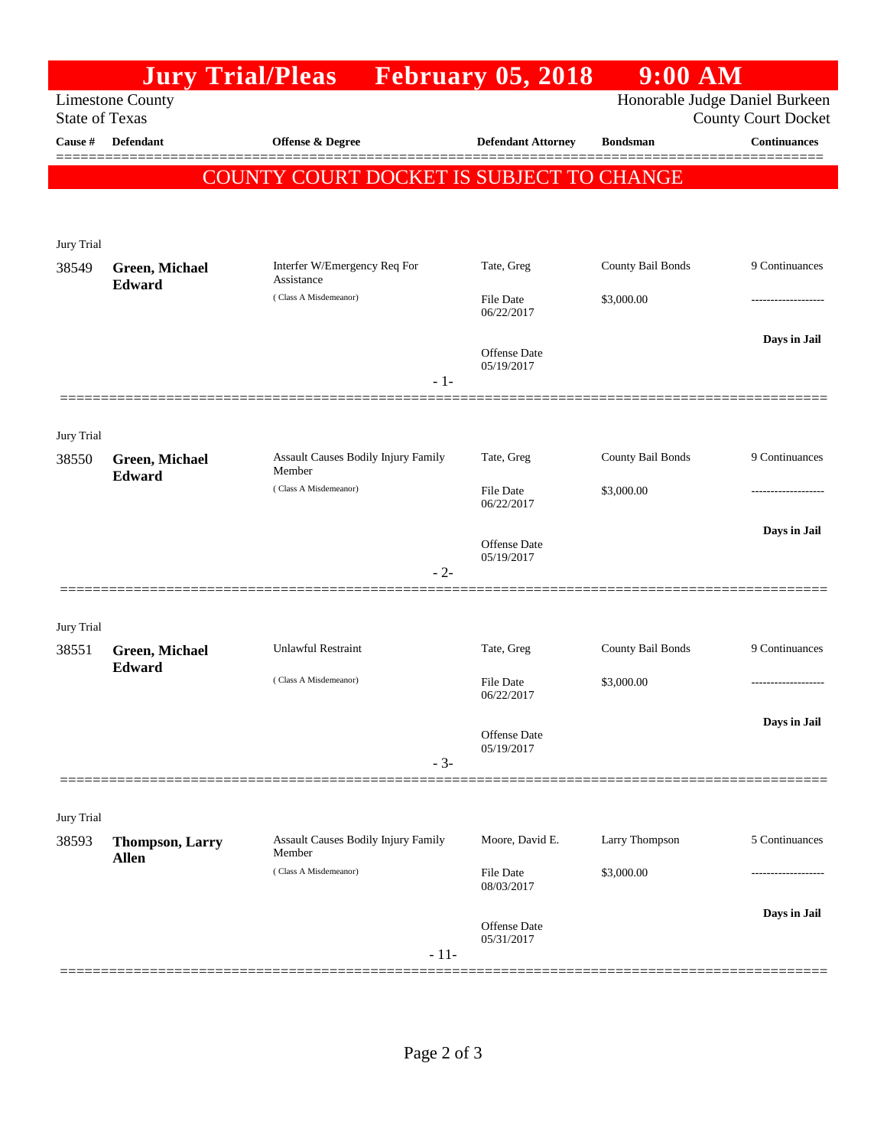|                                                                                    |                                        | <b>Jury Trial/Pleas</b> February 05, 2018     |                                   | $9:00$ AM         |                            |  |  |
|------------------------------------------------------------------------------------|----------------------------------------|-----------------------------------------------|-----------------------------------|-------------------|----------------------------|--|--|
| <b>Limestone County</b><br>Honorable Judge Daniel Burkeen<br><b>State of Texas</b> |                                        |                                               |                                   |                   |                            |  |  |
|                                                                                    |                                        |                                               |                                   |                   | <b>County Court Docket</b> |  |  |
| Cause #                                                                            | <b>Defendant</b>                       | <b>Offense &amp; Degree</b>                   | <b>Defendant Attorney</b>         | <b>Bondsman</b>   | <b>Continuances</b>        |  |  |
|                                                                                    |                                        | COUNTY COURT DOCKET IS SUBJECT TO CHANGE      |                                   |                   |                            |  |  |
|                                                                                    |                                        |                                               |                                   |                   |                            |  |  |
|                                                                                    |                                        |                                               |                                   |                   |                            |  |  |
| Jury Trial<br>38549                                                                | Green, Michael                         | Interfer W/Emergency Req For                  | Tate, Greg                        | County Bail Bonds | 9 Continuances             |  |  |
|                                                                                    | Edward                                 | Assistance<br>(Class A Misdemeanor)           |                                   |                   |                            |  |  |
|                                                                                    |                                        |                                               | File Date<br>06/22/2017           | \$3,000.00        |                            |  |  |
|                                                                                    |                                        |                                               |                                   |                   | Days in Jail               |  |  |
|                                                                                    |                                        |                                               | <b>Offense Date</b><br>05/19/2017 |                   |                            |  |  |
|                                                                                    |                                        | $-1-$                                         |                                   |                   |                            |  |  |
|                                                                                    |                                        |                                               |                                   |                   |                            |  |  |
| Jury Trial                                                                         |                                        |                                               |                                   |                   |                            |  |  |
| 38550                                                                              | <b>Green, Michael</b><br>Edward        | Assault Causes Bodily Injury Family<br>Member | Tate, Greg                        | County Bail Bonds | 9 Continuances             |  |  |
|                                                                                    |                                        | (Class A Misdemeanor)                         | <b>File Date</b><br>06/22/2017    | \$3,000.00        |                            |  |  |
|                                                                                    |                                        |                                               |                                   |                   |                            |  |  |
|                                                                                    |                                        |                                               | Offense Date                      |                   | Days in Jail               |  |  |
|                                                                                    |                                        | $-2-$                                         | 05/19/2017                        |                   |                            |  |  |
|                                                                                    |                                        |                                               |                                   |                   |                            |  |  |
| Jury Trial                                                                         |                                        |                                               |                                   |                   |                            |  |  |
| 38551                                                                              | Green, Michael                         | <b>Unlawful Restraint</b>                     | Tate, Greg                        | County Bail Bonds | 9 Continuances             |  |  |
|                                                                                    | Edward                                 | (Class A Misdemeanor)                         | File Date                         | \$3,000.00        |                            |  |  |
|                                                                                    |                                        |                                               | 06/22/2017                        |                   |                            |  |  |
|                                                                                    |                                        |                                               | <b>Offense Date</b>               |                   | Days in Jail               |  |  |
|                                                                                    |                                        |                                               | 05/19/2017                        |                   |                            |  |  |
|                                                                                    |                                        | $-3-$                                         |                                   |                   |                            |  |  |
|                                                                                    |                                        |                                               |                                   |                   |                            |  |  |
| Jury Trial                                                                         |                                        | Assault Causes Bodily Injury Family           | Moore, David E.                   | Larry Thompson    | 5 Continuances             |  |  |
| 38593                                                                              | <b>Thompson, Larry</b><br><b>Allen</b> | Member                                        |                                   |                   |                            |  |  |
|                                                                                    |                                        | (Class A Misdemeanor)                         | <b>File Date</b><br>08/03/2017    | \$3,000.00        |                            |  |  |
|                                                                                    |                                        |                                               |                                   |                   | Days in Jail               |  |  |
|                                                                                    |                                        |                                               | Offense Date<br>05/31/2017        |                   |                            |  |  |
|                                                                                    |                                        | $-11-$                                        |                                   |                   |                            |  |  |
|                                                                                    |                                        |                                               |                                   |                   |                            |  |  |